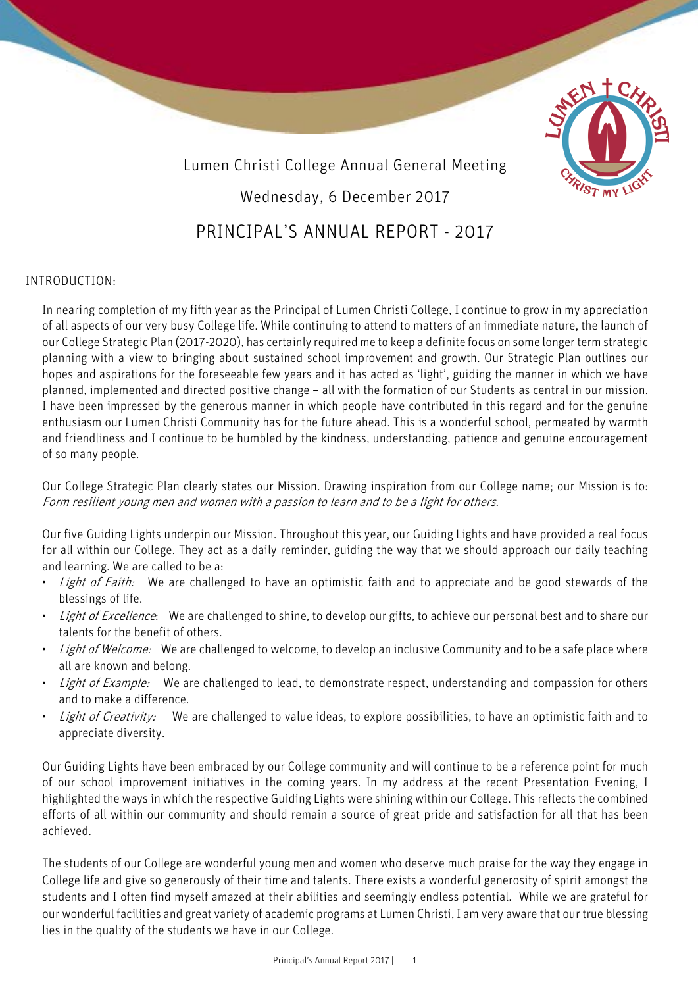



# INTRODUCTION:

In nearing completion of my fifth year as the Principal of Lumen Christi College, I continue to grow in my appreciation of all aspects of our very busy College life. While continuing to attend to matters of an immediate nature, the launch of our College Strategic Plan (2017-2020), has certainly required me to keep a definite focus on some longer term strategic planning with a view to bringing about sustained school improvement and growth. Our Strategic Plan outlines our hopes and aspirations for the foreseeable few years and it has acted as 'light', guiding the manner in which we have planned, implemented and directed positive change – all with the formation of our Students as central in our mission. I have been impressed by the generous manner in which people have contributed in this regard and for the genuine enthusiasm our Lumen Christi Community has for the future ahead. This is a wonderful school, permeated by warmth and friendliness and I continue to be humbled by the kindness, understanding, patience and genuine encouragement of so many people.

Our College Strategic Plan clearly states our Mission. Drawing inspiration from our College name; our Mission is to: Form resilient young men and women with a passion to learn and to be a light for others.

Our five Guiding Lights underpin our Mission. Throughout this year, our Guiding Lights and have provided a real focus for all within our College. They act as a daily reminder, guiding the way that we should approach our daily teaching and learning. We are called to be a:

- Light of Faith: We are challenged to have an optimistic faith and to appreciate and be good stewards of the blessings of life.
- Light of Excellence: We are challenged to shine, to develop our gifts, to achieve our personal best and to share our talents for the benefit of others.
- Light of Welcome: We are challenged to welcome, to develop an inclusive Community and to be a safe place where all are known and belong.
- Light of Example: We are challenged to lead, to demonstrate respect, understanding and compassion for others and to make a difference.
- Light of Creativity: We are challenged to value ideas, to explore possibilities, to have an optimistic faith and to appreciate diversity.

Our Guiding Lights have been embraced by our College community and will continue to be a reference point for much of our school improvement initiatives in the coming years. In my address at the recent Presentation Evening, I highlighted the ways in which the respective Guiding Lights were shining within our College. This reflects the combined efforts of all within our community and should remain a source of great pride and satisfaction for all that has been achieved.

The students of our College are wonderful young men and women who deserve much praise for the way they engage in College life and give so generously of their time and talents. There exists a wonderful generosity of spirit amongst the students and I often find myself amazed at their abilities and seemingly endless potential. While we are grateful for our wonderful facilities and great variety of academic programs at Lumen Christi, I am very aware that our true blessing lies in the quality of the students we have in our College.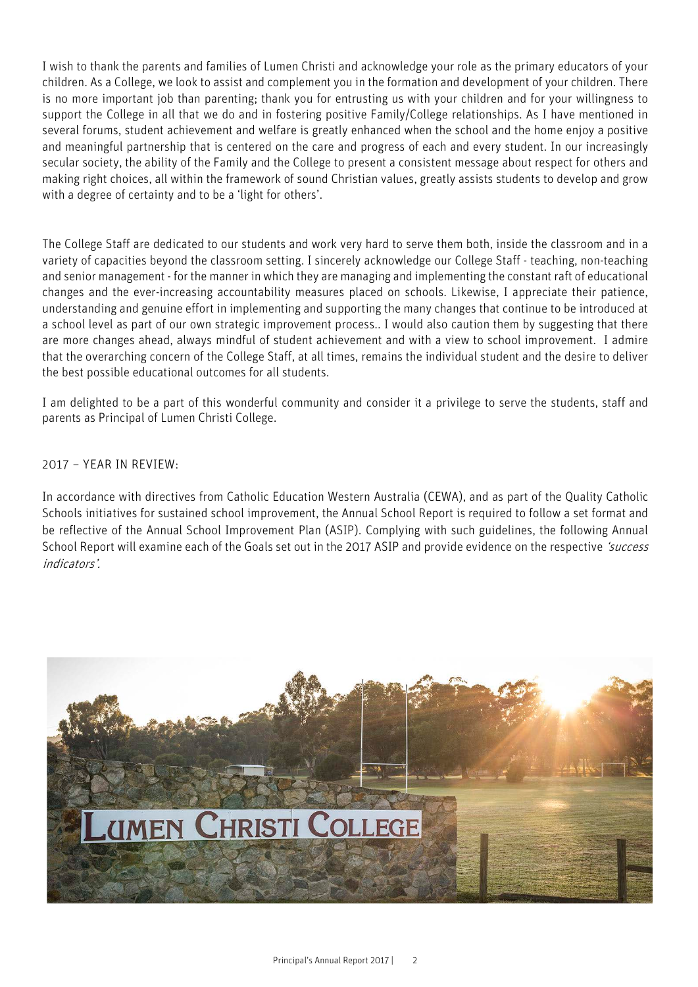I wish to thank the parents and families of Lumen Christi and acknowledge your role as the primary educators of your children. As a College, we look to assist and complement you in the formation and development of your children. There is no more important job than parenting; thank you for entrusting us with your children and for your willingness to support the College in all that we do and in fostering positive Family/College relationships. As I have mentioned in several forums, student achievement and welfare is greatly enhanced when the school and the home enjoy a positive and meaningful partnership that is centered on the care and progress of each and every student. In our increasingly secular society, the ability of the Family and the College to present a consistent message about respect for others and making right choices, all within the framework of sound Christian values, greatly assists students to develop and grow with a degree of certainty and to be a 'light for others'.

The College Staff are dedicated to our students and work very hard to serve them both, inside the classroom and in a variety of capacities beyond the classroom setting. I sincerely acknowledge our College Staff - teaching, non-teaching and senior management - for the manner in which they are managing and implementing the constant raft of educational changes and the ever-increasing accountability measures placed on schools. Likewise, I appreciate their patience, understanding and genuine effort in implementing and supporting the many changes that continue to be introduced at a school level as part of our own strategic improvement process.. I would also caution them by suggesting that there are more changes ahead, always mindful of student achievement and with a view to school improvement. I admire that the overarching concern of the College Staff, at all times, remains the individual student and the desire to deliver the best possible educational outcomes for all students.

I am delighted to be a part of this wonderful community and consider it a privilege to serve the students, staff and parents as Principal of Lumen Christi College.

2017 – YEAR IN REVIEW:

In accordance with directives from Catholic Education Western Australia (CEWA), and as part of the Quality Catholic Schools initiatives for sustained school improvement, the Annual School Report is required to follow a set format and be reflective of the Annual School Improvement Plan (ASIP). Complying with such guidelines, the following Annual School Report will examine each of the Goals set out in the 2017 ASIP and provide evidence on the respective 'success indicators'.

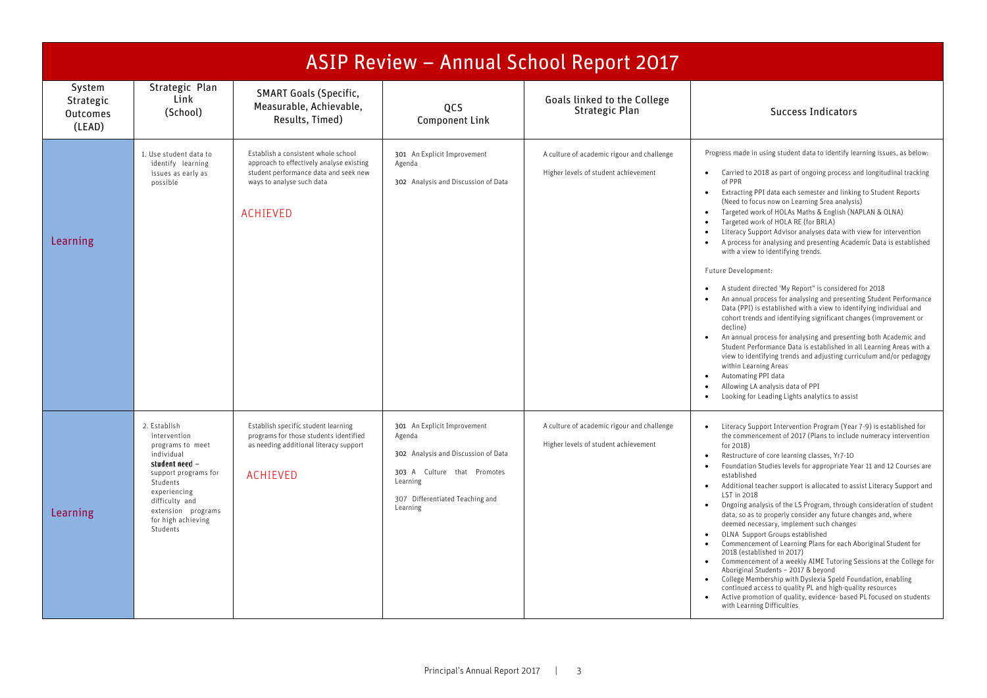|                                                  |                                                                                                                                                                                                                |                                                                                                                                                                          |                                                                                                                                                                        | ASIP Review - Annual School Report 2017                                            |                                                                                                                                                                                                                                                                                                                                                                                                                                                                                                                                                                                                                                                                                                                                                                                                                                                                                                                                                                                                                                                                                                                                                                                                                                                                                                                                                     |
|--------------------------------------------------|----------------------------------------------------------------------------------------------------------------------------------------------------------------------------------------------------------------|--------------------------------------------------------------------------------------------------------------------------------------------------------------------------|------------------------------------------------------------------------------------------------------------------------------------------------------------------------|------------------------------------------------------------------------------------|-----------------------------------------------------------------------------------------------------------------------------------------------------------------------------------------------------------------------------------------------------------------------------------------------------------------------------------------------------------------------------------------------------------------------------------------------------------------------------------------------------------------------------------------------------------------------------------------------------------------------------------------------------------------------------------------------------------------------------------------------------------------------------------------------------------------------------------------------------------------------------------------------------------------------------------------------------------------------------------------------------------------------------------------------------------------------------------------------------------------------------------------------------------------------------------------------------------------------------------------------------------------------------------------------------------------------------------------------------|
| System<br>Strategic<br><b>Outcomes</b><br>(LEAD) | Strategic Plan<br>Link<br>(School)                                                                                                                                                                             | <b>SMART Goals (Specific,</b><br>Measurable, Achievable,<br>Results, Timed)                                                                                              | QCS<br>Component Link                                                                                                                                                  | Goals linked to the College<br>Strategic Plan                                      | <b>Success Indicators</b>                                                                                                                                                                                                                                                                                                                                                                                                                                                                                                                                                                                                                                                                                                                                                                                                                                                                                                                                                                                                                                                                                                                                                                                                                                                                                                                           |
| Learning                                         | 1. Use student data to<br>identify learning<br>issues as early as<br>possible                                                                                                                                  | Establish a consistent whole school<br>approach to effectively analyse existing<br>student performance data and seek new<br>ways to analyse such data<br><b>ACHIEVED</b> | 301 An Explicit Improvement<br>Agenda<br>302 Analysis and Discussion of Data                                                                                           | A culture of academic rigour and challenge<br>Higher levels of student achievement | Progress made in using student data to identify learning issues, as below:<br>Carried to 2018 as part of ongoing process and longitudinal tracking<br>$\bullet$<br>of PPR<br>Extracting PPI data each semester and linking to Student Reports<br>$\bullet$<br>(Need to focus now on Learning Srea analysis)<br>Targeted work of HOLAs Maths & English (NAPLAN & OLNA)<br>$\bullet$<br>Targeted work of HOLA RE (for BRLA)<br>Literacy Support Advisor analyses data with view for intervention<br>A process for analysing and presenting Academic Data is established<br>$\bullet$<br>with a view to identifying trends.<br>Future Development:<br>A student directed 'My Report" is considered for 2018<br>$\bullet$<br>An annual process for analysing and presenting Student Performance<br>$\bullet$<br>Data (PPI) is established with a view to identifying individual and<br>cohort trends and identifying significant changes (improvement or<br>decline)<br>An annual process for analysing and presenting both Academic and<br>$\bullet$<br>Student Performance Data is established in all Learning Areas with a<br>view to identifying trends and adjusting curriculum and/or pedagogy<br>within Learning Areas<br>Automating PPI data<br>$\bullet$<br>Allowing LA analysis data of PPI<br>Looking for Leading Lights analytics to assist |
| Learning                                         | 2. Establish<br>intervention<br>programs to meet<br>individual<br>student need -<br>support programs for<br>Students<br>experiencing<br>difficulty and<br>extension programs<br>for high achieving<br>Students | Establish specific student learning<br>programs for those students identified<br>as needing additional literacy support<br><b>ACHIEVED</b>                               | 301 An Explicit Improvement<br>Agenda<br>302 Analysis and Discussion of Data<br>303 A Culture that Promotes<br>Learning<br>307 Differentiated Teaching and<br>Learning | A culture of academic rigour and challenge<br>Higher levels of student achievement | Literacy Support Intervention Program (Year 7-9) is established for<br>$\bullet$<br>the commencement of 2017 (Plans to include numeracy intervention<br>for 2018)<br>Restructure of core learning classes, Yr7-10<br>$\bullet$<br>Foundation Studies levels for appropriate Year 11 and 12 Courses are<br>established<br>Additional teacher support is allocated to assist Literacy Support and<br>$\bullet$<br>LST in 2018<br>Ongoing analysis of the LS Program, through consideration of student<br>$\bullet$<br>data, so as to properly consider any future changes and, where<br>deemed necessary, implement such changes<br>OLNA Support Groups established<br>$\bullet$<br>Commencement of Learning Plans for each Aboriginal Student for<br>2018 (established in 2017)<br>Commencement of a weekly AIME Tutoring Sessions at the College for<br>$\bullet$<br>Aboriginal Students - 2017 & beyond<br>College Membership with Dyslexia Speld Foundation, enabling<br>$\bullet$<br>continued access to quality PL and high-quality resources<br>Active promotion of quality, evidence- based PL focused on students<br>with Learning Difficulties                                                                                                                                                                                              |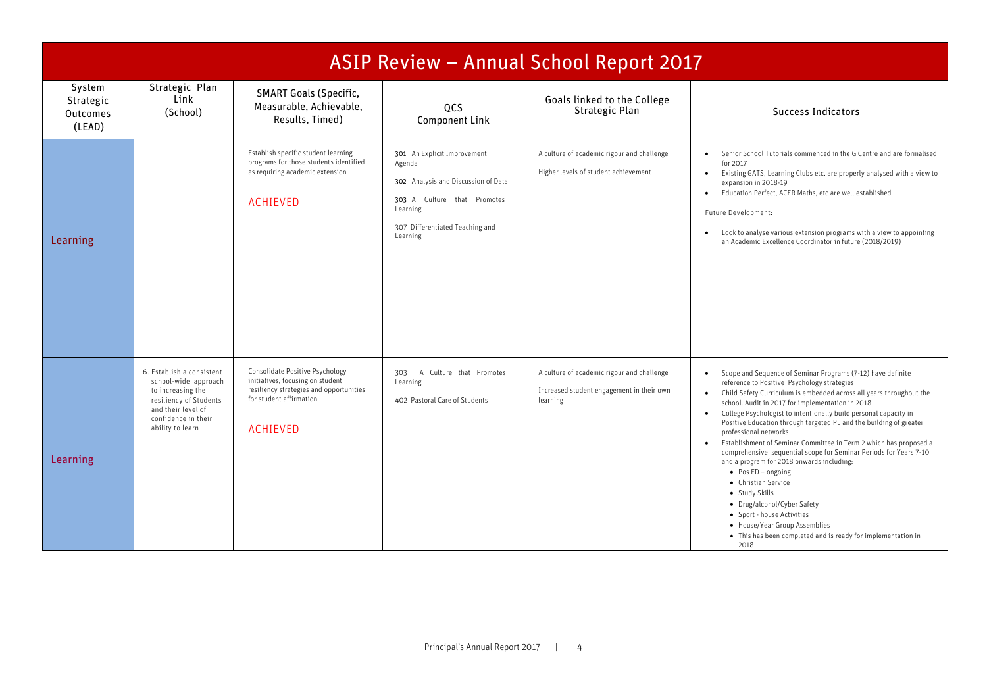|                                                  |                                                                                                                                                                   |                                                                                                                                                              |                                                                                                                                                                        | ASIP Review - Annual School Report 2017                                                             |                                                                                                                                                                                                                                                                                                                                                                                                                                                                                                                                                                                                                                                                                                                                                                                                                                                             |
|--------------------------------------------------|-------------------------------------------------------------------------------------------------------------------------------------------------------------------|--------------------------------------------------------------------------------------------------------------------------------------------------------------|------------------------------------------------------------------------------------------------------------------------------------------------------------------------|-----------------------------------------------------------------------------------------------------|-------------------------------------------------------------------------------------------------------------------------------------------------------------------------------------------------------------------------------------------------------------------------------------------------------------------------------------------------------------------------------------------------------------------------------------------------------------------------------------------------------------------------------------------------------------------------------------------------------------------------------------------------------------------------------------------------------------------------------------------------------------------------------------------------------------------------------------------------------------|
| System<br>Strategic<br><b>Outcomes</b><br>(LEAD) | Strategic Plan<br>Link<br>(School)                                                                                                                                | <b>SMART Goals (Specific,</b><br>Measurable, Achievable,<br>Results, Timed)                                                                                  | QCS<br><b>Component Link</b>                                                                                                                                           | Goals linked to the College<br>Strategic Plan                                                       | Success Indicators                                                                                                                                                                                                                                                                                                                                                                                                                                                                                                                                                                                                                                                                                                                                                                                                                                          |
| Learning                                         |                                                                                                                                                                   | Establish specific student learning<br>programs for those students identified<br>as requiring academic extension<br><b>ACHIEVED</b>                          | 301 An Explicit Improvement<br>Agenda<br>302 Analysis and Discussion of Data<br>303 A Culture that Promotes<br>Learning<br>307 Differentiated Teaching and<br>Learning | A culture of academic rigour and challenge<br>Higher levels of student achievement                  | Senior School Tutorials commenced in the G Centre and are formalised<br>for 2017<br>Existing GATS, Learning Clubs etc. are properly analysed with a view to<br>expansion in 2018-19<br>Education Perfect, ACER Maths, etc are well established<br>$\bullet$<br>Future Development:<br>Look to analyse various extension programs with a view to appointing<br>an Academic Excellence Coordinator in future (2018/2019)                                                                                                                                                                                                                                                                                                                                                                                                                                      |
| Learning                                         | 6. Establish a consistent<br>school-wide approach<br>to increasing the<br>resiliency of Students<br>and their level of<br>confidence in their<br>ability to learn | Consolidate Positive Psychology<br>initiatives, focusing on student<br>resiliency strategies and opportunities<br>for student affirmation<br><b>ACHIEVED</b> | A Culture that Promotes<br>303<br>Learning<br>402 Pastoral Care of Students                                                                                            | A culture of academic rigour and challenge<br>Increased student engagement in their own<br>learning | • Scope and Sequence of Seminar Programs (7-12) have definite<br>reference to Positive Psychology strategies<br>Child Safety Curriculum is embedded across all years throughout the<br>school. Audit in 2017 for implementation in 2018<br>College Psychologist to intentionally build personal capacity in<br>$\bullet$<br>Positive Education through targeted PL and the building of greater<br>professional networks<br>Establishment of Seminar Committee in Term 2 which has proposed a<br>comprehensive sequential scope for Seminar Periods for Years 7-10<br>and a program for 2018 onwards including;<br>$\bullet$ Pos ED - ongoing<br>• Christian Service<br>• Study Skills<br>• Drug/alcohol/Cyber Safety<br>• Sport - house Activities<br>• House/Year Group Assemblies<br>• This has been completed and is ready for implementation in<br>2018 |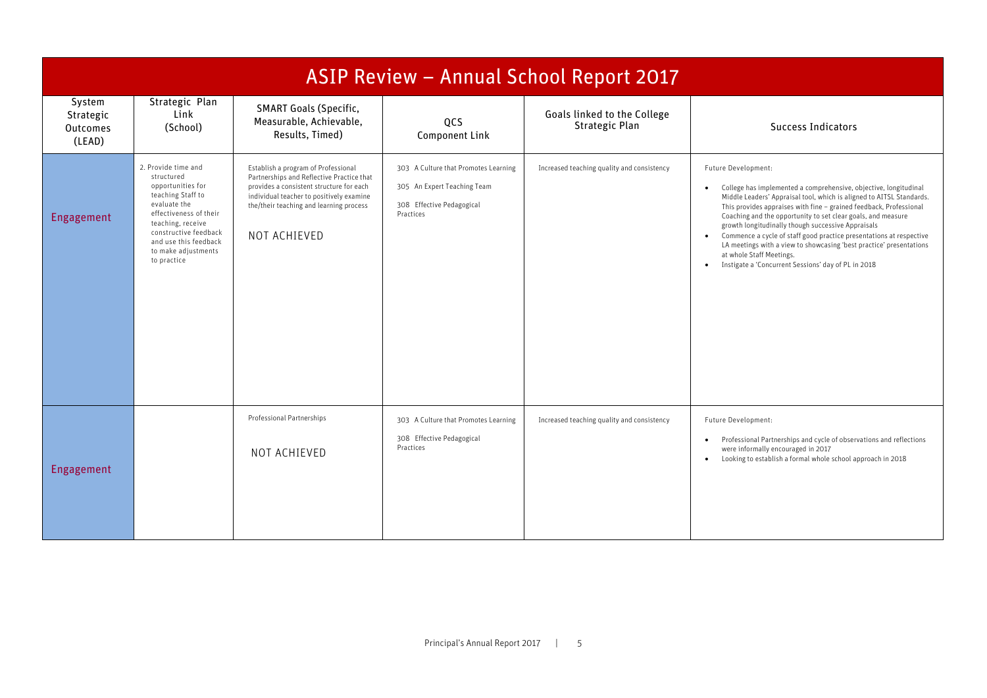|                                           | ASIP Review - Annual School Report 2017                                                                                                                                                                                                                                                                                                                                                                                                                                   |                                                                             |                                                                                                               |                                               |                                                                                                                                                                                                                                                                                                                                                                                                                                                                                                                                                                                                                                     |  |  |  |  |
|-------------------------------------------|---------------------------------------------------------------------------------------------------------------------------------------------------------------------------------------------------------------------------------------------------------------------------------------------------------------------------------------------------------------------------------------------------------------------------------------------------------------------------|-----------------------------------------------------------------------------|---------------------------------------------------------------------------------------------------------------|-----------------------------------------------|-------------------------------------------------------------------------------------------------------------------------------------------------------------------------------------------------------------------------------------------------------------------------------------------------------------------------------------------------------------------------------------------------------------------------------------------------------------------------------------------------------------------------------------------------------------------------------------------------------------------------------------|--|--|--|--|
| System<br>Strategic<br>Outcomes<br>(LEAD) | Strategic Plan<br>Link<br>(School)                                                                                                                                                                                                                                                                                                                                                                                                                                        | <b>SMART Goals (Specific,</b><br>Measurable, Achievable,<br>Results, Timed) | QCS<br>Component Link                                                                                         | Goals linked to the College<br>Strategic Plan | <b>Success Indicators</b>                                                                                                                                                                                                                                                                                                                                                                                                                                                                                                                                                                                                           |  |  |  |  |
| Engagement                                | 2. Provide time and<br>Establish a program of Professional<br>structured<br>Partnerships and Reflective Practice that<br>opportunities for<br>provides a consistent structure for each<br>teaching Staff to<br>individual teacher to positively examine<br>evaluate the<br>the/their teaching and learning process<br>effectiveness of their<br>teaching, receive<br>constructive feedback<br>NOT ACHIEVED<br>and use this feedback<br>to make adjustments<br>to practice |                                                                             | 303 A Culture that Promotes Learning<br>305 An Expert Teaching Team<br>308 Effective Pedagogical<br>Practices | Increased teaching quality and consistency    | Future Development:<br>College has implemented a comprehensive, objective, longitudinal<br>$\bullet$<br>Middle Leaders' Appraisal tool, which is aligned to AITSL Standards.<br>This provides appraises with fine - grained feedback, Professional<br>Coaching and the opportunity to set clear goals, and measure<br>growth longitudinally though successive Appraisals<br>Commence a cycle of staff good practice presentations at respective<br>$\bullet$<br>LA meetings with a view to showcasing 'best practice' presentations<br>at whole Staff Meetings.<br>Instigate a 'Concurrent Sessions' day of PL in 2018<br>$\bullet$ |  |  |  |  |
| Engagement                                |                                                                                                                                                                                                                                                                                                                                                                                                                                                                           | Professional Partnerships<br>NOT ACHIEVED                                   | 303 A Culture that Promotes Learning<br>308 Effective Pedagogical<br>Practices                                | Increased teaching quality and consistency    | Future Development:<br>Professional Partnerships and cycle of observations and reflections<br>$\bullet$<br>were informally encouraged in 2017<br>Looking to establish a formal whole school approach in 2018<br>$\bullet$                                                                                                                                                                                                                                                                                                                                                                                                           |  |  |  |  |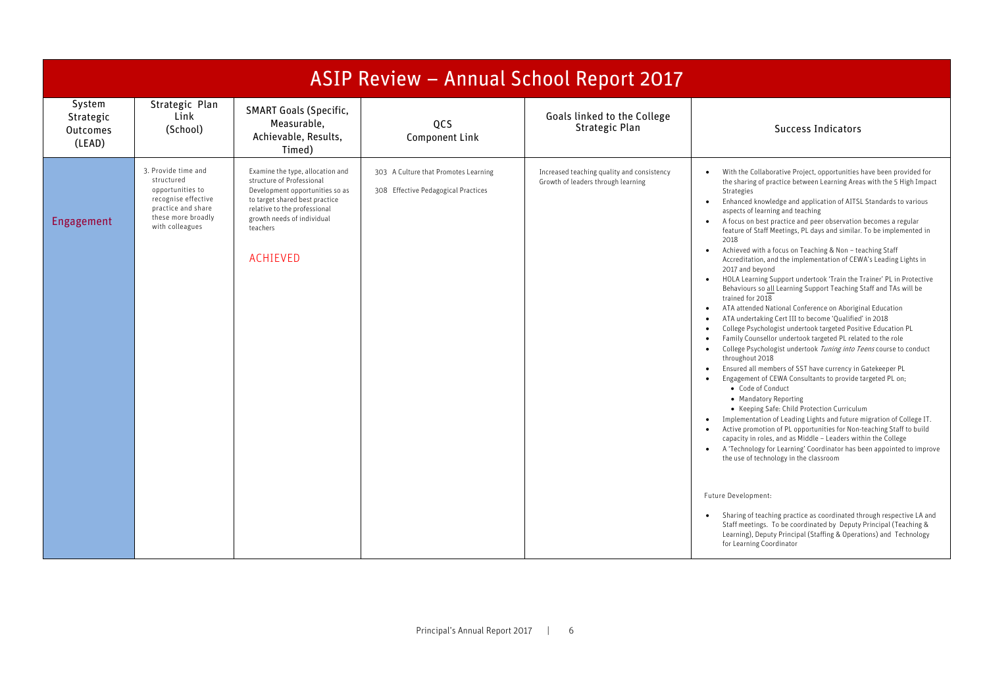| ASIP Review - Annual School Report 2017   |                                                                                                                                             |                                                                                                                                                                                                                                 |                                                                             |                                                                                  |                                                                                                                                                                                                                                                                                                                                                                                                                                                                                                                                                                                                                                                                                                                                                                                                                                                                                                                                                                                                                                                                                                                                                                                                                                                                                                                                                                                                                                                                                                                                                                                                                                                                                                                                                                                                                   |  |  |  |
|-------------------------------------------|---------------------------------------------------------------------------------------------------------------------------------------------|---------------------------------------------------------------------------------------------------------------------------------------------------------------------------------------------------------------------------------|-----------------------------------------------------------------------------|----------------------------------------------------------------------------------|-------------------------------------------------------------------------------------------------------------------------------------------------------------------------------------------------------------------------------------------------------------------------------------------------------------------------------------------------------------------------------------------------------------------------------------------------------------------------------------------------------------------------------------------------------------------------------------------------------------------------------------------------------------------------------------------------------------------------------------------------------------------------------------------------------------------------------------------------------------------------------------------------------------------------------------------------------------------------------------------------------------------------------------------------------------------------------------------------------------------------------------------------------------------------------------------------------------------------------------------------------------------------------------------------------------------------------------------------------------------------------------------------------------------------------------------------------------------------------------------------------------------------------------------------------------------------------------------------------------------------------------------------------------------------------------------------------------------------------------------------------------------------------------------------------------------|--|--|--|
| System<br>Strategic<br>Outcomes<br>(LEAD) | Strategic Plan<br>Link<br>(School)                                                                                                          | <b>SMART Goals (Specific,</b><br>Measurable,<br>Achievable, Results,<br>Timed)                                                                                                                                                  | QCS<br><b>Component Link</b>                                                | Goals linked to the College<br>Strategic Plan                                    | <b>Success Indicators</b>                                                                                                                                                                                                                                                                                                                                                                                                                                                                                                                                                                                                                                                                                                                                                                                                                                                                                                                                                                                                                                                                                                                                                                                                                                                                                                                                                                                                                                                                                                                                                                                                                                                                                                                                                                                         |  |  |  |
| Engagement                                | 3. Provide time and<br>structured<br>opportunities to<br>recognise effective<br>practice and share<br>these more broadly<br>with colleagues | Examine the type, allocation and<br>structure of Professional<br>Development opportunities so as<br>to target shared best practice<br>relative to the professional<br>growth needs of individual<br>teachers<br><b>ACHIEVED</b> | 303 A Culture that Promotes Learning<br>308 Effective Pedagogical Practices | Increased teaching quality and consistency<br>Growth of leaders through learning | With the Collaborative Project, opportunities have been provided for<br>the sharing of practice between Learning Areas with the 5 High Impact<br>Strategies<br>Enhanced knowledge and application of AITSL Standards to various<br>$\bullet$<br>aspects of learning and teaching<br>A focus on best practice and peer observation becomes a regular<br>$\bullet$<br>feature of Staff Meetings, PL days and similar. To be implemented in<br>2018<br>Achieved with a focus on Teaching & Non - teaching Staff<br>$\bullet$<br>Accreditation, and the implementation of CEWA's Leading Lights in<br>2017 and beyond<br>HOLA Learning Support undertook 'Train the Trainer' PL in Protective<br>$\bullet$<br>Behaviours so all Learning Support Teaching Staff and TAs will be<br>trained for 2018<br>ATA attended National Conference on Aboriginal Education<br>$\bullet$<br>ATA undertaking Cert III to become 'Qualified' in 2018<br>$\bullet$<br>College Psychologist undertook targeted Positive Education PL<br>$\bullet$<br>Family Counsellor undertook targeted PL related to the role<br>College Psychologist undertook Tuning into Teens course to conduct<br>$\bullet$<br>throughout 2018<br>Ensured all members of SST have currency in Gatekeeper PL<br>$\bullet$<br>Engagement of CEWA Consultants to provide targeted PL on;<br>• Code of Conduct<br>• Mandatory Reporting<br>• Keeping Safe: Child Protection Curriculum<br>Implementation of Leading Lights and future migration of College IT.<br>$\bullet$<br>Active promotion of PL opportunities for Non-teaching Staff to build<br>$\bullet$<br>capacity in roles, and as Middle - Leaders within the College<br>A 'Technology for Learning' Coordinator has been appointed to improve<br>$\bullet$<br>the use of technology in the classroom |  |  |  |
|                                           |                                                                                                                                             |                                                                                                                                                                                                                                 |                                                                             |                                                                                  | Future Development:<br>Sharing of teaching practice as coordinated through respective LA and<br>$\bullet$<br>Staff meetings. To be coordinated by Deputy Principal (Teaching &<br>Learning), Deputy Principal (Staffing & Operations) and Technology<br>for Learning Coordinator                                                                                                                                                                                                                                                                                                                                                                                                                                                                                                                                                                                                                                                                                                                                                                                                                                                                                                                                                                                                                                                                                                                                                                                                                                                                                                                                                                                                                                                                                                                                  |  |  |  |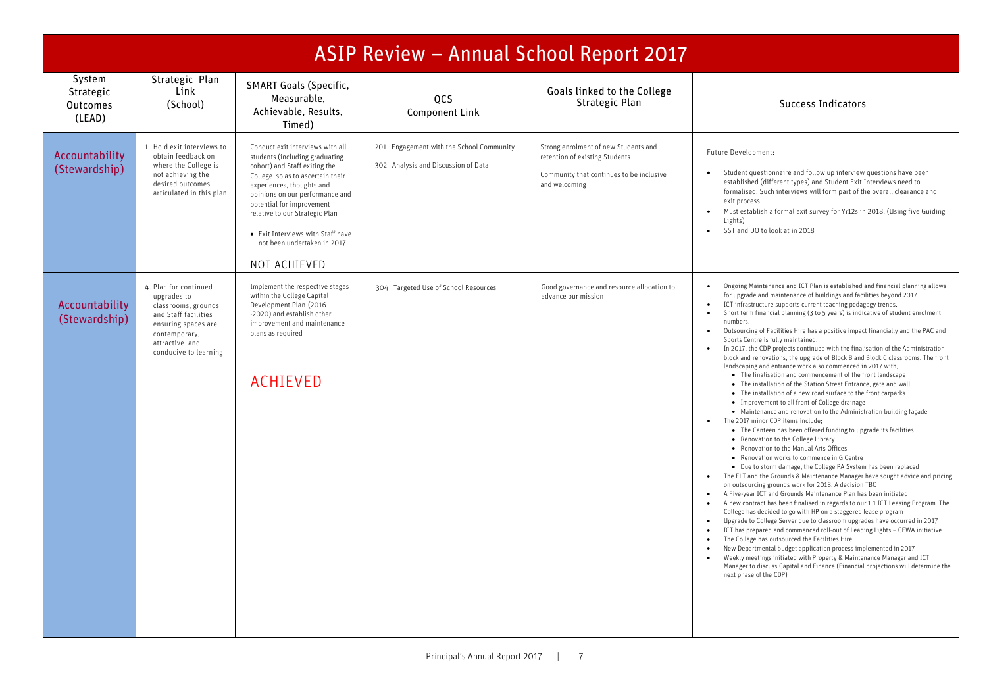|                                                  | ASIP Review - Annual School Report 2017                                                                                                                                |                                                                                                                                                                                                                                                                                                                                                            |                                                                                 |                                                                                                                                     |                                                                                                                                                                                                                                                                                                                                                                                                                                                                                                                                                                                                                                                                                                                                                                                                                                                                                                                                                                                                                                                                                                                                                                                                                                                                                                                                                                                                                                                                                                                                                                                                                                                                                                                                                                                                                                                                                                                                                                                                                                                                                                                                                                                                                                      |  |  |  |  |
|--------------------------------------------------|------------------------------------------------------------------------------------------------------------------------------------------------------------------------|------------------------------------------------------------------------------------------------------------------------------------------------------------------------------------------------------------------------------------------------------------------------------------------------------------------------------------------------------------|---------------------------------------------------------------------------------|-------------------------------------------------------------------------------------------------------------------------------------|--------------------------------------------------------------------------------------------------------------------------------------------------------------------------------------------------------------------------------------------------------------------------------------------------------------------------------------------------------------------------------------------------------------------------------------------------------------------------------------------------------------------------------------------------------------------------------------------------------------------------------------------------------------------------------------------------------------------------------------------------------------------------------------------------------------------------------------------------------------------------------------------------------------------------------------------------------------------------------------------------------------------------------------------------------------------------------------------------------------------------------------------------------------------------------------------------------------------------------------------------------------------------------------------------------------------------------------------------------------------------------------------------------------------------------------------------------------------------------------------------------------------------------------------------------------------------------------------------------------------------------------------------------------------------------------------------------------------------------------------------------------------------------------------------------------------------------------------------------------------------------------------------------------------------------------------------------------------------------------------------------------------------------------------------------------------------------------------------------------------------------------------------------------------------------------------------------------------------------------|--|--|--|--|
| System<br>Strategic<br><b>Outcomes</b><br>(LEAD) | Strategic Plan<br>Link<br>(School)                                                                                                                                     | <b>SMART Goals (Specific,</b><br>Measurable,<br>Achievable, Results,<br>Timed)                                                                                                                                                                                                                                                                             | <b>OCS</b><br><b>Component Link</b>                                             | Goals linked to the College<br><b>Strategic Plan</b>                                                                                | <b>Success Indicators</b>                                                                                                                                                                                                                                                                                                                                                                                                                                                                                                                                                                                                                                                                                                                                                                                                                                                                                                                                                                                                                                                                                                                                                                                                                                                                                                                                                                                                                                                                                                                                                                                                                                                                                                                                                                                                                                                                                                                                                                                                                                                                                                                                                                                                            |  |  |  |  |
| Accountability<br>(Stewardship)                  | 1. Hold exit interviews to<br>obtain feedback on<br>where the College is<br>not achieving the<br>desired outcomes<br>articulated in this plan                          | Conduct exit interviews with all<br>students (including graduating<br>cohort) and Staff exiting the<br>College so as to ascertain their<br>experiences, thoughts and<br>opinions on our performance and<br>potential for improvement<br>relative to our Strategic Plan<br>• Exit Interviews with Staff have<br>not been undertaken in 2017<br>NOT ACHIEVED | 201 Engagement with the School Community<br>302 Analysis and Discussion of Data | Strong enrolment of new Students and<br>retention of existing Students<br>Community that continues to be inclusive<br>and welcoming | Future Development:<br>Student questionnaire and follow up interview questions have been<br>$\bullet$<br>established (different types) and Student Exit Interviews need to<br>formalised. Such interviews will form part of the overall clearance and<br>exit process<br>Must establish a formal exit survey for Yr12s in 2018. (Using five Guiding<br>$\bullet$<br>Lights)<br>SST and DO to look at in 2018<br>$\bullet$                                                                                                                                                                                                                                                                                                                                                                                                                                                                                                                                                                                                                                                                                                                                                                                                                                                                                                                                                                                                                                                                                                                                                                                                                                                                                                                                                                                                                                                                                                                                                                                                                                                                                                                                                                                                            |  |  |  |  |
| Accountability<br>(Stewardship)                  | 4. Plan for continued<br>upgrades to<br>classrooms, grounds<br>and Staff facilities<br>ensuring spaces are<br>contemporary,<br>attractive and<br>conducive to learning | Implement the respective stages<br>within the College Capital<br>Development Plan (2016<br>-2020) and establish other<br>improvement and maintenance<br>plans as required<br><b>ACHIEVED</b>                                                                                                                                                               | 304 Targeted Use of School Resources                                            | Good governance and resource allocation to<br>advance our mission                                                                   | Ongoing Maintenance and ICT Plan is established and financial planning allows<br>$\bullet$<br>for upgrade and maintenance of buildings and facilities beyond 2017.<br>ICT infrastructure supports current teaching pedagogy trends.<br>$\bullet$<br>Short term financial planning (3 to 5 years) is indicative of student enrolment<br>$\bullet$<br>numbers.<br>Outsourcing of Facilities Hire has a positive impact financially and the PAC and<br>Sports Centre is fully maintained.<br>In 2017, the CDP projects continued with the finalisation of the Administration<br>block and renovations, the upgrade of Block B and Block C classrooms. The front<br>landscaping and entrance work also commenced in 2017 with;<br>• The finalisation and commencement of the front landscape<br>• The installation of the Station Street Entrance, gate and wall<br>• The installation of a new road surface to the front carparks<br>• Improvement to all front of College drainage<br>• Maintenance and renovation to the Administration building facade<br>The 2017 minor CDP items include;<br>• The Canteen has been offered funding to upgrade its facilities<br>• Renovation to the College Library<br>• Renovation to the Manual Arts Offices<br>• Renovation works to commence in G Centre<br>• Due to storm damage, the College PA System has been replaced<br>The ELT and the Grounds & Maintenance Manager have sought advice and pricing<br>on outsourcing grounds work for 2018. A decision TBC<br>A Five-year ICT and Grounds Maintenance Plan has been initiated<br>A new contract has been finalised in regards to our 1:1 ICT Leasing Program. The<br>$\bullet$<br>College has decided to go with HP on a staggered lease program<br>Upgrade to College Server due to classroom upgrades have occurred in 2017<br>$\bullet$<br>ICT has prepared and commenced roll-out of Leading Lights - CEWA initiative<br>The College has outsourced the Facilities Hire<br>New Departmental budget application process implemented in 2017<br>Weekly meetings initiated with Property & Maintenance Manager and ICT<br>Manager to discuss Capital and Finance (Financial projections will determine the<br>next phase of the CDP) |  |  |  |  |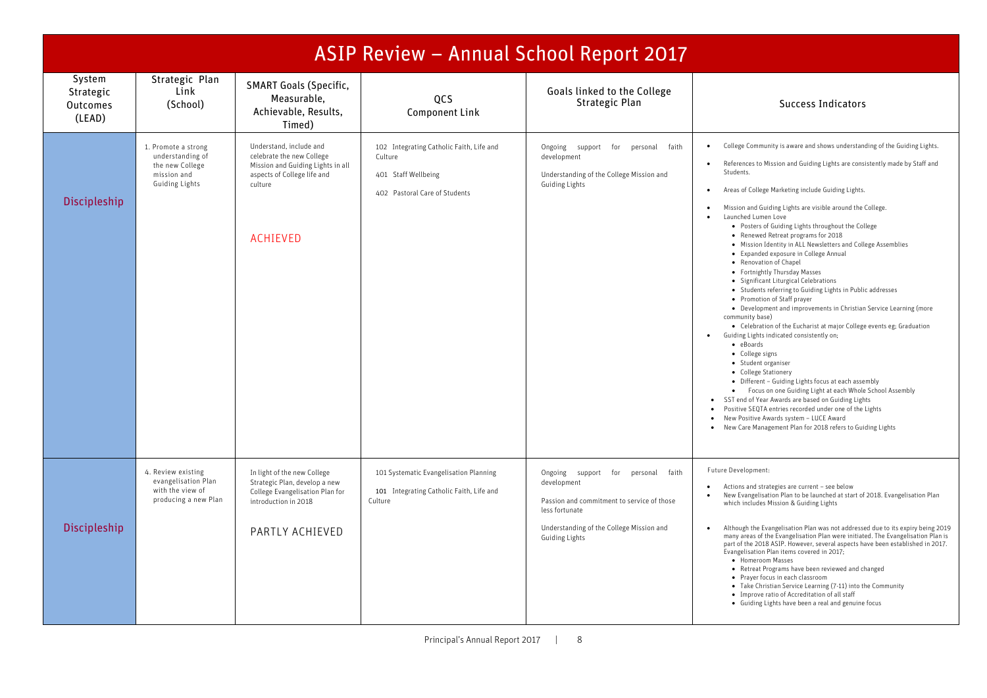|                                                  | <b>ASIP Review - Annual School Report 2017</b>                                              |                                                                                                                                                        |                                                                                                             |                                                                                                                                                                                              |                                                                                                                                                                                                                                                                                                                                                                                                                                                                                                                                                                                                                                                                                                                                                                                                                                                                                                                                                                                                                                                                                                                                                                                                                                                                                                                                                                                                                                                      |  |  |  |  |
|--------------------------------------------------|---------------------------------------------------------------------------------------------|--------------------------------------------------------------------------------------------------------------------------------------------------------|-------------------------------------------------------------------------------------------------------------|----------------------------------------------------------------------------------------------------------------------------------------------------------------------------------------------|------------------------------------------------------------------------------------------------------------------------------------------------------------------------------------------------------------------------------------------------------------------------------------------------------------------------------------------------------------------------------------------------------------------------------------------------------------------------------------------------------------------------------------------------------------------------------------------------------------------------------------------------------------------------------------------------------------------------------------------------------------------------------------------------------------------------------------------------------------------------------------------------------------------------------------------------------------------------------------------------------------------------------------------------------------------------------------------------------------------------------------------------------------------------------------------------------------------------------------------------------------------------------------------------------------------------------------------------------------------------------------------------------------------------------------------------------|--|--|--|--|
| System<br>Strategic<br><b>Outcomes</b><br>(LEAD) | Strategic Plan<br>Link<br>(School)                                                          | <b>SMART Goals (Specific,</b><br>Measurable,<br>Achievable, Results,<br>Timed)                                                                         | QCS<br><b>Component Link</b>                                                                                | Goals linked to the College<br>Strategic Plan                                                                                                                                                | <b>Success Indicators</b>                                                                                                                                                                                                                                                                                                                                                                                                                                                                                                                                                                                                                                                                                                                                                                                                                                                                                                                                                                                                                                                                                                                                                                                                                                                                                                                                                                                                                            |  |  |  |  |
| Discipleship                                     | 1. Promote a strong<br>understanding of<br>the new College<br>mission and<br>Guiding Lights | Understand, include and<br>celebrate the new College<br>Mission and Guiding Lights in all<br>aspects of College life and<br>culture<br><b>ACHIEVED</b> | 102 Integrating Catholic Faith, Life and<br>Culture<br>401 Staff Wellbeing<br>402 Pastoral Care of Students | Ongoing support for personal<br>faith<br>development<br>Understanding of the College Mission and<br>Guiding Lights                                                                           | College Community is aware and shows understanding of the Guiding Lights.<br>References to Mission and Guiding Lights are consistently made by Staff and<br>$\bullet$<br>Students.<br>Areas of College Marketing include Guiding Lights.<br>$\bullet$<br>Mission and Guiding Lights are visible around the College.<br>$\bullet$<br>Launched Lumen Love<br>$\bullet$<br>• Posters of Guiding Lights throughout the College<br>• Renewed Retreat programs for 2018<br>. Mission Identity in ALL Newsletters and College Assemblies<br>• Expanded exposure in College Annual<br>• Renovation of Chapel<br>• Fortnightly Thursday Masses<br>· Significant Liturgical Celebrations<br>• Students referring to Guiding Lights in Public addresses<br>• Promotion of Staff prayer<br>• Development and improvements in Christian Service Learning (more<br>community base)<br>• Celebration of the Eucharist at major College events eg; Graduation<br>Guiding Lights indicated consistently on;<br>$\bullet$<br>• eBoards<br>• College signs<br>• Student organiser<br>• College Stationery<br>• Different - Guiding Lights focus at each assembly<br>• Focus on one Guiding Light at each Whole School Assembly<br>SST end of Year Awards are based on Guiding Lights<br>$\bullet$<br>Positive SEQTA entries recorded under one of the Lights<br>• New Positive Awards system - LUCE Award<br>New Care Management Plan for 2018 refers to Guiding Lights |  |  |  |  |
| Discipleship                                     | 4. Review existing<br>evangelisation Plan<br>with the view of<br>producing a new Plan       | In light of the new College<br>Strategic Plan, develop a new<br>College Evangelisation Plan for<br>introduction in 2018<br>PARTLY ACHIEVED             | 101 Systematic Evangelisation Planning<br>101 Integrating Catholic Faith, Life and<br>Culture               | faith<br>Ongoing support for<br>personal<br>development<br>Passion and commitment to service of those<br>less fortunate<br>Understanding of the College Mission and<br><b>Guiding Lights</b> | Future Development:<br>Actions and strategies are current - see below<br>$\bullet$<br>New Evangelisation Plan to be launched at start of 2018. Evangelisation Plan<br>$\bullet$<br>which includes Mission & Guiding Lights<br>Although the Evangelisation Plan was not addressed due to its expiry being 2019<br>many areas of the Evangelisation Plan were initiated. The Evangelisation Plan is<br>part of the 2018 ASIP. However, several aspects have been established in 2017.<br>Evangelisation Plan items covered in 2017;<br>• Homeroom Masses<br>• Retreat Programs have been reviewed and changed<br>• Prayer focus in each classroom<br>• Take Christian Service Learning (7-11) into the Community<br>• Improve ratio of Accreditation of all staff<br>• Guiding Lights have been a real and genuine focus                                                                                                                                                                                                                                                                                                                                                                                                                                                                                                                                                                                                                               |  |  |  |  |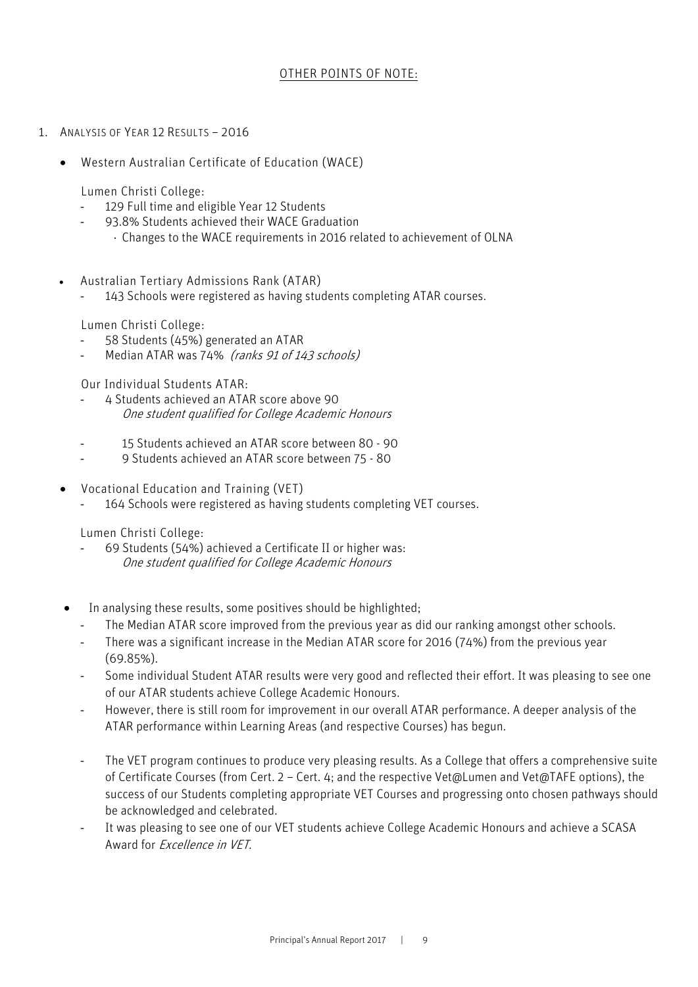## OTHER POINTS OF NOTE:

- 1. ANALYSIS OF YEAR 12 RESULTS 2016
	- Western Australian Certificate of Education (WACE)

Lumen Christi College:

- 129 Full time and eligible Year 12 Students
- 93.8% Students achieved their WACE Graduation
	- ⋅ Changes to the WACE requirements in 2016 related to achievement of OLNA
- Australian Tertiary Admissions Rank (ATAR)
	- 143 Schools were registered as having students completing ATAR courses.

Lumen Christi College:

- 58 Students (45%) generated an ATAR
- Median ATAR was 74% (ranks 91 of 143 schools)

Our Individual Students ATAR:

- 4 Students achieved an ATAR score above 90 One student qualified for College Academic Honours
- 15 Students achieved an ATAR score between 80 90
- 9 Students achieved an ATAR score between 75 80
- Vocational Education and Training (VET)
	- 164 Schools were registered as having students completing VET courses.

Lumen Christi College:

- 69 Students (54%) achieved a Certificate II or higher was: One student qualified for College Academic Honours
- In analysing these results, some positives should be highlighted;
	- The Median ATAR score improved from the previous year as did our ranking amongst other schools.
	- There was a significant increase in the Median ATAR score for 2016 (74%) from the previous year (69.85%).
	- Some individual Student ATAR results were very good and reflected their effort. It was pleasing to see one of our ATAR students achieve College Academic Honours.
	- However, there is still room for improvement in our overall ATAR performance. A deeper analysis of the ATAR performance within Learning Areas (and respective Courses) has begun.
	- The VET program continues to produce very pleasing results. As a College that offers a comprehensive suite of Certificate Courses (from Cert. 2 – Cert. 4; and the respective Vet@Lumen and Vet@TAFE options), the success of our Students completing appropriate VET Courses and progressing onto chosen pathways should be acknowledged and celebrated.
	- It was pleasing to see one of our VET students achieve College Academic Honours and achieve a SCASA Award for Excellence in VET.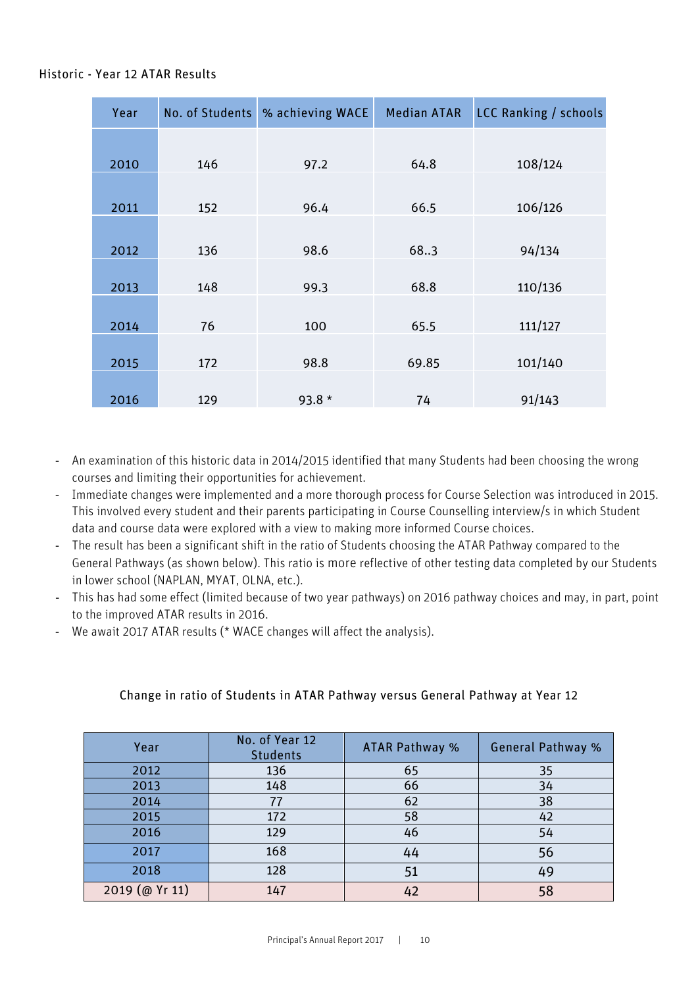## Historic - Year 12 ATAR Results

| Year | No. of Students | % achieving WACE | <b>Median ATAR</b> | <b>LCC Ranking / schools</b> |
|------|-----------------|------------------|--------------------|------------------------------|
|      |                 |                  |                    |                              |
| 2010 | 146             | 97.2             | 64.8               | 108/124                      |
|      |                 |                  |                    |                              |
| 2011 | 152             | 96.4             | 66.5               | 106/126                      |
|      |                 |                  |                    |                              |
| 2012 | 136             | 98.6             | 68.3               | 94/134                       |
|      |                 |                  |                    |                              |
| 2013 | 148             | 99.3             | 68.8               | 110/136                      |
|      |                 |                  |                    |                              |
| 2014 | 76              | 100              | 65.5               | 111/127                      |
|      |                 |                  |                    |                              |
| 2015 | 172             | 98.8             | 69.85              | 101/140                      |
|      |                 |                  |                    |                              |
| 2016 | 129             | 93.8 $*$         | 74                 | 91/143                       |

- An examination of this historic data in 2014/2015 identified that many Students had been choosing the wrong courses and limiting their opportunities for achievement.
- Immediate changes were implemented and a more thorough process for Course Selection was introduced in 2015. This involved every student and their parents participating in Course Counselling interview/s in which Student data and course data were explored with a view to making more informed Course choices.
- The result has been a significant shift in the ratio of Students choosing the ATAR Pathway compared to the General Pathways (as shown below). This ratio is more reflective of other testing data completed by our Students in lower school (NAPLAN, MYAT, OLNA, etc.).
- This has had some effect (limited because of two year pathways) on 2016 pathway choices and may, in part, point to the improved ATAR results in 2016.
- We await 2017 ATAR results (\* WACE changes will affect the analysis).

# Change in ratio of Students in ATAR Pathway versus General Pathway at Year 12

| Year           | No. of Year 12<br><b>Students</b> | ATAR Pathway % | <b>General Pathway %</b> |
|----------------|-----------------------------------|----------------|--------------------------|
| 2012           | 136                               | 65             | 35                       |
| 2013           | 148                               | 66             | 34                       |
| 2014           | 77                                | 62             | 38                       |
| 2015           | 172                               | 58             | 42                       |
| 2016           | 129                               | 46             | 54                       |
| 2017           | 168                               | 44             | 56                       |
| 2018           | 128                               | 51             | 49                       |
| 2019 (@ Yr 11) | 147                               | 42             |                          |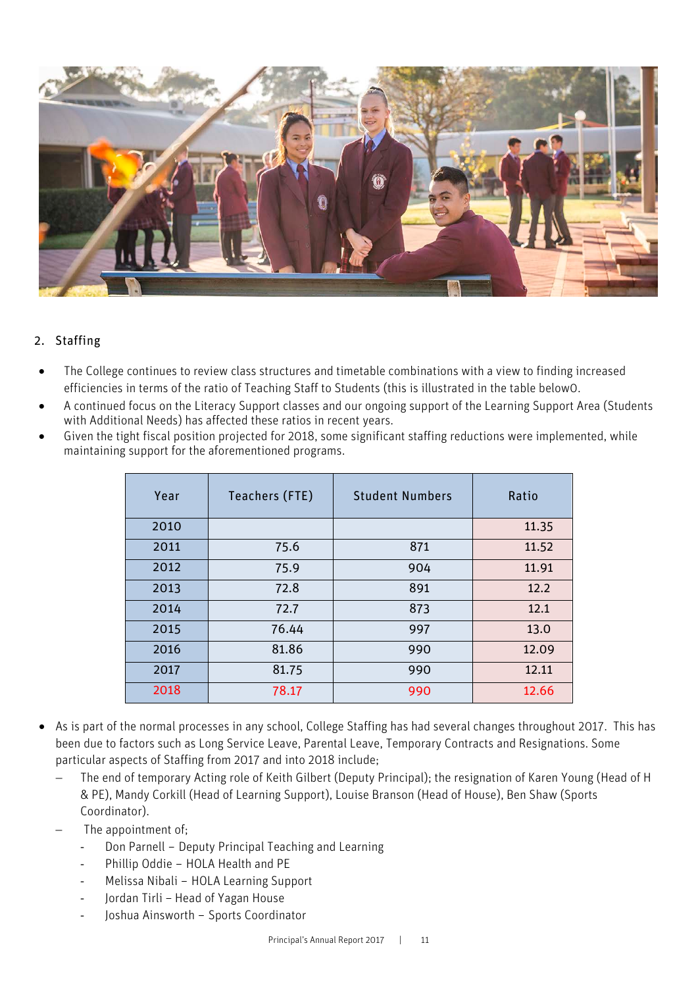

# 2. Staffing

- The College continues to review class structures and timetable combinations with a view to finding increased efficiencies in terms of the ratio of Teaching Staff to Students (this is illustrated in the table below0.
- A continued focus on the Literacy Support classes and our ongoing support of the Learning Support Area (Students with Additional Needs) has affected these ratios in recent years.
- Given the tight fiscal position projected for 2018, some significant staffing reductions were implemented, while maintaining support for the aforementioned programs.

| Year | Teachers (FTE) | <b>Student Numbers</b> | Ratio |
|------|----------------|------------------------|-------|
| 2010 |                |                        | 11.35 |
| 2011 | 75.6           | 871                    | 11.52 |
| 2012 | 75.9           | 904                    | 11.91 |
| 2013 | 72.8           | 891                    | 12.2  |
| 2014 | 72.7           | 873                    | 12.1  |
| 2015 | 76.44          | 997                    | 13.0  |
| 2016 | 81.86          | 990                    | 12.09 |
| 2017 | 81.75          | 990                    | 12.11 |
| 2018 | 78.17          | 990                    | 12.66 |

- As is part of the normal processes in any school, College Staffing has had several changes throughout 2017. This has been due to factors such as Long Service Leave, Parental Leave, Temporary Contracts and Resignations. Some particular aspects of Staffing from 2017 and into 2018 include;
	- The end of temporary Acting role of Keith Gilbert (Deputy Principal); the resignation of Karen Young (Head of H & PE), Mandy Corkill (Head of Learning Support), Louise Branson (Head of House), Ben Shaw (Sports Coordinator).
	- The appointment of;
		- Don Parnell Deputy Principal Teaching and Learning
		- Phillip Oddie HOLA Health and PE
		- Melissa Nibali HOLA Learning Support
		- Jordan Tirli Head of Yagan House
		- Joshua Ainsworth Sports Coordinator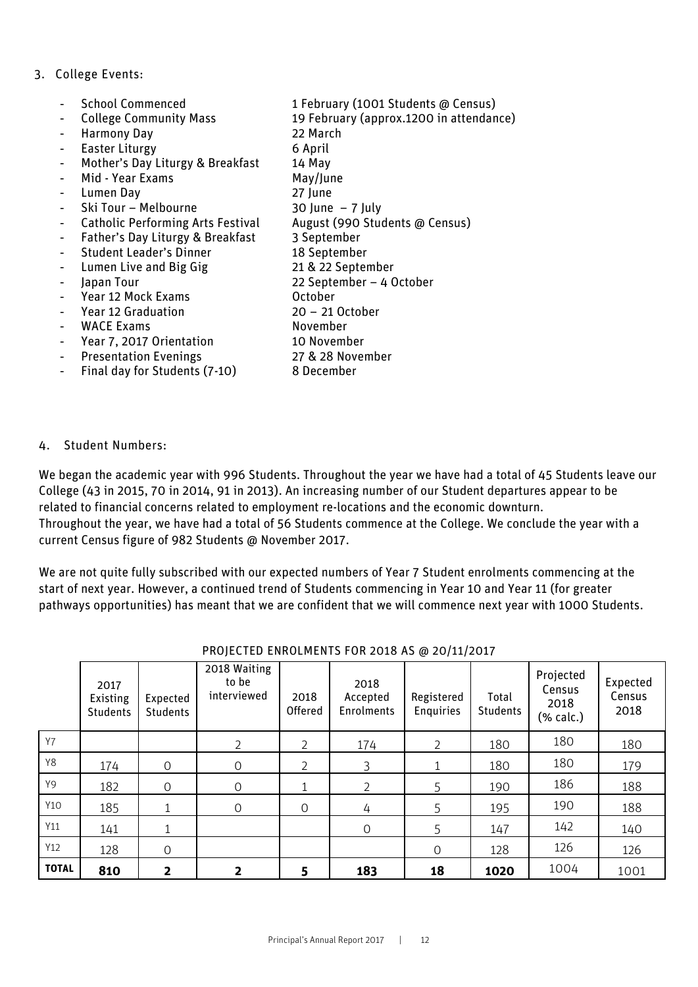## 3. College Events:

|                | <b>School Commenced</b>                  | 1 February (1001 Students @ Census)     |
|----------------|------------------------------------------|-----------------------------------------|
| $\blacksquare$ | <b>College Community Mass</b>            | 19 February (approx.1200 in attendance) |
|                | <b>Harmony Day</b>                       | 22 March                                |
| $\blacksquare$ | Easter Liturgy                           | 6 April                                 |
|                | Mother's Day Liturgy & Breakfast         | 14 May                                  |
|                | Mid - Year Exams                         | May/June                                |
|                | Lumen Day                                | 27 June                                 |
|                | Ski Tour - Melbourne                     | 30 June $-7$ July                       |
|                | <b>Catholic Performing Arts Festival</b> | August (990 Students @ Census)          |
|                | Father's Day Liturgy & Breakfast         | 3 September                             |
|                | <b>Student Leader's Dinner</b>           | 18 September                            |
|                | Lumen Live and Big Gig                   | 21 & 22 September                       |
|                | Japan Tour                               | 22 September - 4 October                |
|                | Year 12 Mock Exams                       | October                                 |
|                | <b>Year 12 Graduation</b>                | $20 - 21$ October                       |
|                | <b>WACE Exams</b>                        | November                                |
|                | Year 7, 2017 Orientation                 | 10 November                             |
|                | <b>Presentation Evenings</b>             | 27 & 28 November                        |
|                | Final day for Students (7-10)            | 8 December                              |
|                |                                          |                                         |

#### 4. Student Numbers:

We began the academic year with 996 Students. Throughout the year we have had a total of 45 Students leave our College (43 in 2015, 70 in 2014, 91 in 2013). An increasing number of our Student departures appear to be related to financial concerns related to employment re-locations and the economic downturn. Throughout the year, we have had a total of 56 Students commence at the College. We conclude the year with a current Census figure of 982 Students @ November 2017.

We are not quite fully subscribed with our expected numbers of Year 7 Student enrolments commencing at the start of next year. However, a continued trend of Students commencing in Year 10 and Year 11 (for greater pathways opportunities) has meant that we are confident that we will commence next year with 1000 Students.

|              | 2017<br>Existing<br><b>Students</b> | Expected<br><b>Students</b> | 2018 Waiting<br>to be<br>interviewed | 2018<br>Offered | 2018<br>Accepted<br>Enrolments | Registered<br>Enquiries | Total<br><b>Students</b> | Projected<br>Census<br>2018<br>(% calc.) | Expected<br>Census<br>2018 |
|--------------|-------------------------------------|-----------------------------|--------------------------------------|-----------------|--------------------------------|-------------------------|--------------------------|------------------------------------------|----------------------------|
| <b>Y7</b>    |                                     |                             | $\overline{2}$                       | 2               | 174                            | 2                       | 180                      | 180                                      | 180                        |
| <b>Y8</b>    | 174                                 | $\Omega$                    | $\mathbf 0$                          | 2               | 3                              |                         | 180                      | 180                                      | 179                        |
| Y9           | 182                                 | $\Omega$                    | $\mathbf 0$                          |                 | 2                              | 5                       | 190                      | 186                                      | 188                        |
| Y10          | 185                                 |                             | $\Omega$                             | $\circ$         | 4                              | 5                       | 195                      | 190                                      | 188                        |
| Y11          | 141                                 |                             |                                      |                 | $\Omega$                       | 5                       | 147                      | 142                                      | 140                        |
| Y12          | 128                                 | $\Omega$                    |                                      |                 |                                | $\Omega$                | 128                      | 126                                      | 126                        |
| <b>TOTAL</b> | 810                                 | 2                           | 2                                    | 5               | 183                            | 18                      | 1020                     | 1004                                     | 1001                       |

#### PROJECTED ENROLMENTS FOR 2018 AS @ 20/11/2017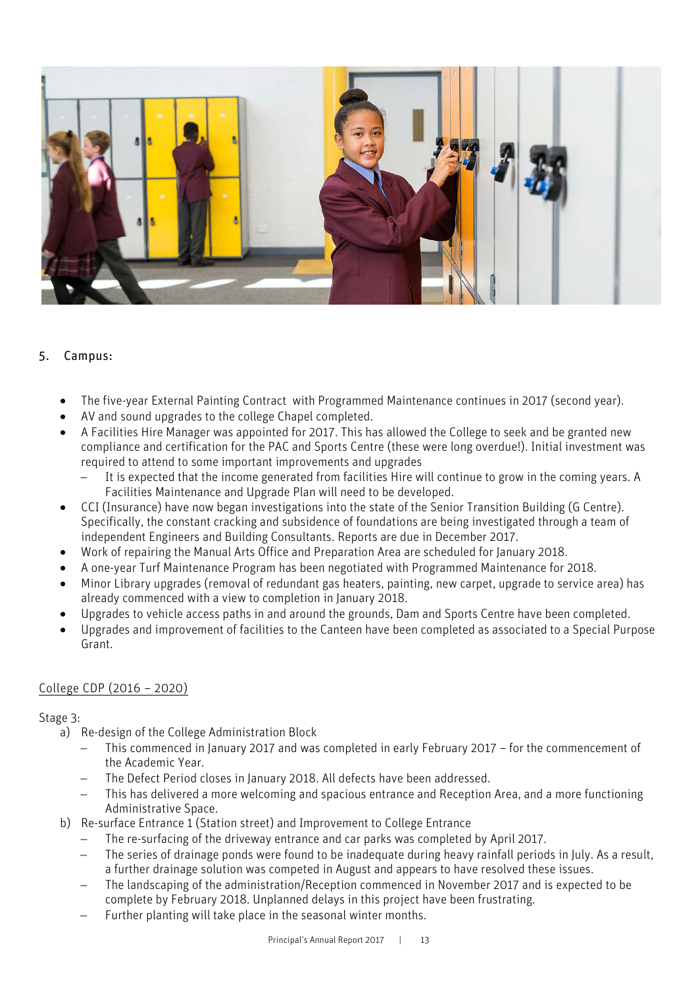

# 5. Campus:

- The five-year External Painting Contract with Programmed Maintenance continues in 2017 (second year).
- AV and sound upgrades to the college Chapel completed.
- A Facilities Hire Manager was appointed for 2017. This has allowed the College to seek and be granted new compliance and certification for the PAC and Sports Centre (these were long overdue!). Initial investment was required to attend to some important improvements and upgrades
	- It is expected that the income generated from facilities Hire will continue to grow in the coming years. A Facilities Maintenance and Upgrade Plan will need to be developed.
- CCI (Insurance) have now began investigations into the state of the Senior Transition Building (G Centre). Specifically, the constant cracking and subsidence of foundations are being investigated through a team of independent Engineers and Building Consultants. Reports are due in December 2017.
- Work of repairing the Manual Arts Office and Preparation Area are scheduled for January 2018.
- A one-year Turf Maintenance Program has been negotiated with Programmed Maintenance for 2018.
- Minor Library upgrades (removal of redundant gas heaters, painting, new carpet, upgrade to service area) has already commenced with a view to completion in January 2018.
- Upgrades to vehicle access paths in and around the grounds, Dam and Sports Centre have been completed.
- Upgrades and improvement of facilities to the Canteen have been completed as associated to a Special Purpose Grant.

## College CDP (2016 – 2020)

## Stage 3:

- a) Re-design of the College Administration Block
	- This commenced in January 2017 and was completed in early February 2017 for the commencement of the Academic Year.
	- − The Defect Period closes in January 2018. All defects have been addressed.
	- This has delivered a more welcoming and spacious entrance and Reception Area, and a more functioning Administrative Space.
- b) Re-surface Entrance 1 (Station street) and Improvement to College Entrance
	- The re-surfacing of the driveway entrance and car parks was completed by April 2017.
	- The series of drainage ponds were found to be inadequate during heavy rainfall periods in July. As a result, a further drainage solution was competed in August and appears to have resolved these issues.
	- The landscaping of the administration/Reception commenced in November 2017 and is expected to be complete by February 2018. Unplanned delays in this project have been frustrating.
	- Further planting will take place in the seasonal winter months.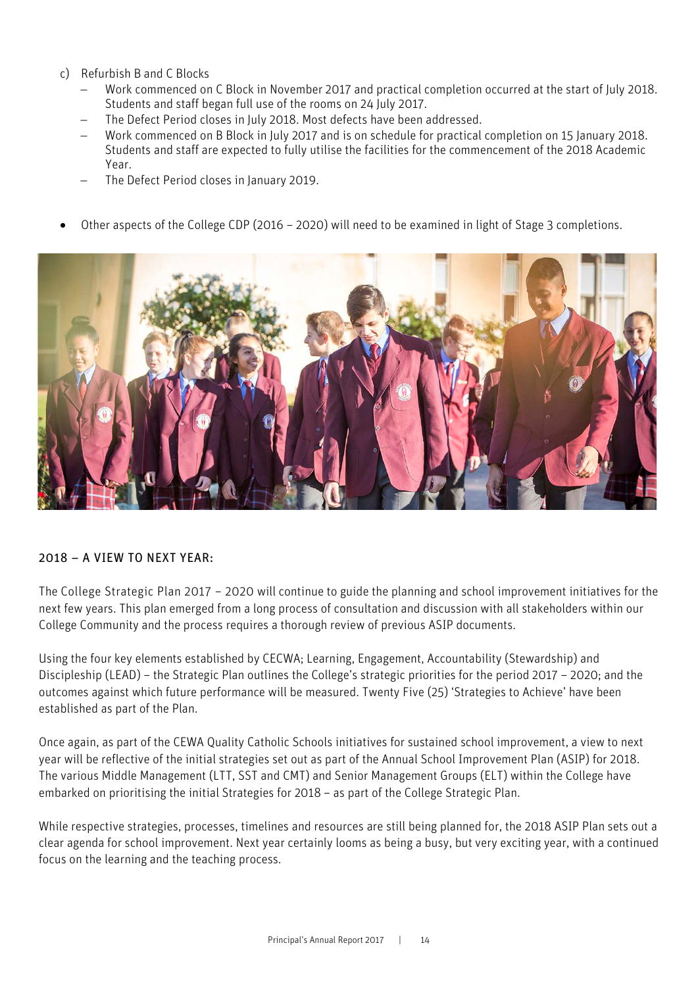- c) Refurbish B and C Blocks
	- − Work commenced on C Block in November 2017 and practical completion occurred at the start of July 2018. Students and staff began full use of the rooms on 24 July 2017.
	- The Defect Period closes in July 2018. Most defects have been addressed.
	- − Work commenced on B Block in July 2017 and is on schedule for practical completion on 15 January 2018. Students and staff are expected to fully utilise the facilities for the commencement of the 2018 Academic Year.
	- The Defect Period closes in January 2019.
- Other aspects of the College CDP (2016 2020) will need to be examined in light of Stage 3 completions.



## 2018 – A VIEW TO NEXT YEAR:

The College Strategic Plan 2017 – 2020 will continue to guide the planning and school improvement initiatives for the next few years. This plan emerged from a long process of consultation and discussion with all stakeholders within our College Community and the process requires a thorough review of previous ASIP documents.

Using the four key elements established by CECWA; Learning, Engagement, Accountability (Stewardship) and Discipleship (LEAD) – the Strategic Plan outlines the College's strategic priorities for the period 2017 – 2020; and the outcomes against which future performance will be measured. Twenty Five (25) 'Strategies to Achieve' have been established as part of the Plan.

Once again, as part of the CEWA Quality Catholic Schools initiatives for sustained school improvement, a view to next year will be reflective of the initial strategies set out as part of the Annual School Improvement Plan (ASIP) for 2018. The various Middle Management (LTT, SST and CMT) and Senior Management Groups (ELT) within the College have embarked on prioritising the initial Strategies for 2018 – as part of the College Strategic Plan.

While respective strategies, processes, timelines and resources are still being planned for, the 2018 ASIP Plan sets out a clear agenda for school improvement. Next year certainly looms as being a busy, but very exciting year, with a continued focus on the learning and the teaching process.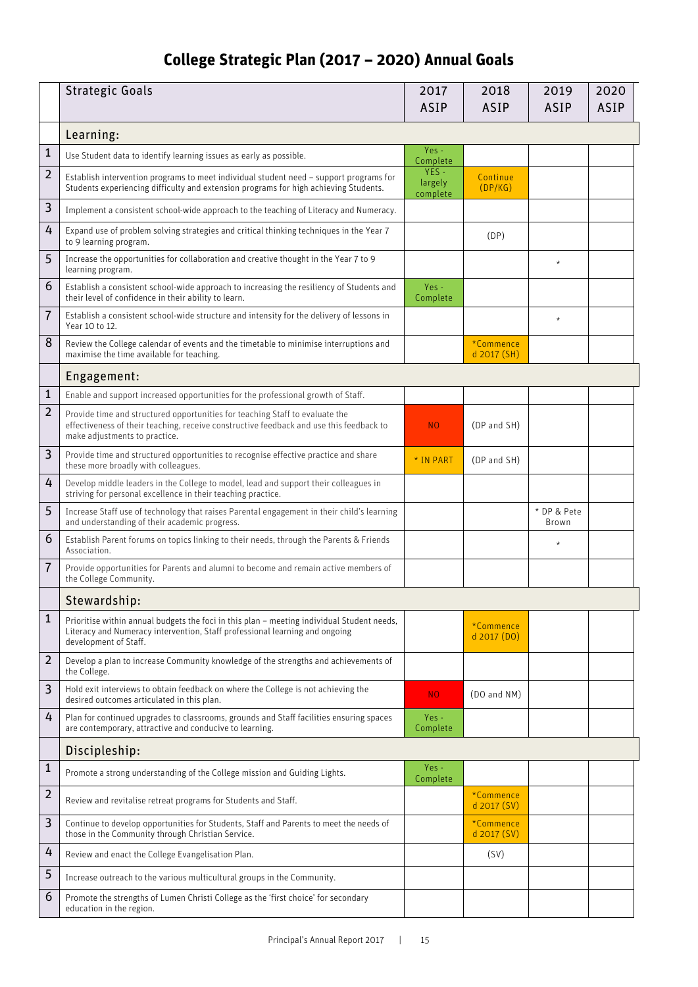# **College Strategic Plan (2017 – 2020) Annual Goals**

|                | <b>Strategic Goals</b>                                                                                                                                                                                   | 2017<br><b>ASIP</b>         | 2018<br><b>ASIP</b>        | 2019<br><b>ASIP</b>  | 2020<br><b>ASIP</b> |
|----------------|----------------------------------------------------------------------------------------------------------------------------------------------------------------------------------------------------------|-----------------------------|----------------------------|----------------------|---------------------|
|                | Learning:                                                                                                                                                                                                |                             |                            |                      |                     |
| 1              | Use Student data to identify learning issues as early as possible.                                                                                                                                       | Yes -<br>Complete           |                            |                      |                     |
| $\overline{2}$ | Establish intervention programs to meet individual student need - support programs for<br>Students experiencing difficulty and extension programs for high achieving Students.                           | YES-<br>largely<br>complete | Continue<br>(DP/KG)        |                      |                     |
| 3              | Implement a consistent school-wide approach to the teaching of Literacy and Numeracy.                                                                                                                    |                             |                            |                      |                     |
| 4              | Expand use of problem solving strategies and critical thinking techniques in the Year 7<br>to 9 learning program.                                                                                        |                             | (DP)                       |                      |                     |
| 5              | Increase the opportunities for collaboration and creative thought in the Year 7 to 9<br>learning program.                                                                                                |                             |                            | $\star$              |                     |
| 6              | Establish a consistent school-wide approach to increasing the resiliency of Students and<br>their level of confidence in their ability to learn.                                                         | Yes -<br>Complete           |                            |                      |                     |
| 7              | Establish a consistent school-wide structure and intensity for the delivery of lessons in<br>Year 10 to 12.                                                                                              |                             |                            | $\star$              |                     |
| 8              | Review the College calendar of events and the timetable to minimise interruptions and<br>maximise the time available for teaching.                                                                       |                             | *Commence<br>d 2017 (SH)   |                      |                     |
|                | Engagement:                                                                                                                                                                                              |                             |                            |                      |                     |
| $\mathbf{1}$   | Enable and support increased opportunities for the professional growth of Staff.                                                                                                                         |                             |                            |                      |                     |
| $\overline{2}$ | Provide time and structured opportunities for teaching Staff to evaluate the<br>effectiveness of their teaching, receive constructive feedback and use this feedback to<br>make adjustments to practice. | N <sub>O</sub>              | (DP and SH)                |                      |                     |
| 3              | Provide time and structured opportunities to recognise effective practice and share<br>these more broadly with colleagues.                                                                               | * IN PART                   | (DP and SH)                |                      |                     |
| 4              | Develop middle leaders in the College to model, lead and support their colleagues in<br>striving for personal excellence in their teaching practice.                                                     |                             |                            |                      |                     |
| 5              | Increase Staff use of technology that raises Parental engagement in their child's learning<br>and understanding of their academic progress.                                                              |                             |                            | * DP & Pete<br>Brown |                     |
| 6              | Establish Parent forums on topics linking to their needs, through the Parents & Friends<br>Association.                                                                                                  |                             |                            | $\star$              |                     |
| $\overline{7}$ | Provide opportunities for Parents and alumni to become and remain active members of<br>the College Community.                                                                                            |                             |                            |                      |                     |
|                | Stewardship:                                                                                                                                                                                             |                             |                            |                      |                     |
| 1              | Prioritise within annual budgets the foci in this plan - meeting individual Student needs,<br>Literacy and Numeracy intervention, Staff professional learning and ongoing<br>development of Staff.       |                             | *Commence<br>$d$ 2017 (DO) |                      |                     |
| 2              | Develop a plan to increase Community knowledge of the strengths and achievements of<br>the College.                                                                                                      |                             |                            |                      |                     |
| 3              | Hold exit interviews to obtain feedback on where the College is not achieving the<br>desired outcomes articulated in this plan.                                                                          | NO.                         | (DO and NM)                |                      |                     |
| 4              | Plan for continued upgrades to classrooms, grounds and Staff facilities ensuring spaces<br>are contemporary, attractive and conducive to learning.                                                       | Yes -<br>Complete           |                            |                      |                     |
|                | Discipleship:                                                                                                                                                                                            |                             |                            |                      |                     |
| 1              | Promote a strong understanding of the College mission and Guiding Lights.                                                                                                                                | $Yes -$<br>Complete         |                            |                      |                     |
| $\overline{2}$ | Review and revitalise retreat programs for Students and Staff.                                                                                                                                           |                             | *Commence<br>d 2017 (SV)   |                      |                     |
| 3              | Continue to develop opportunities for Students, Staff and Parents to meet the needs of<br>those in the Community through Christian Service.                                                              |                             | *Commence<br>d 2017 (SV)   |                      |                     |
| 4              | Review and enact the College Evangelisation Plan.                                                                                                                                                        |                             | (SV)                       |                      |                     |
| 5              | Increase outreach to the various multicultural groups in the Community.                                                                                                                                  |                             |                            |                      |                     |
| 6              | Promote the strengths of Lumen Christi College as the 'first choice' for secondary<br>education in the region.                                                                                           |                             |                            |                      |                     |